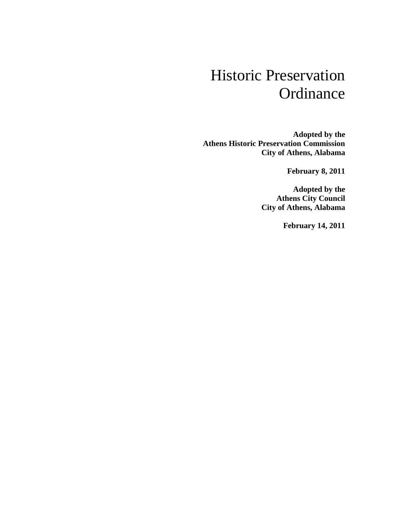# Historic Preservation **Ordinance**

**Adopted by the Athens Historic Preservation Commission City of Athens, Alabama**

**February 8, 2011**

**Adopted by the Athens City Council City of Athens, Alabama**

**February 14, 2011**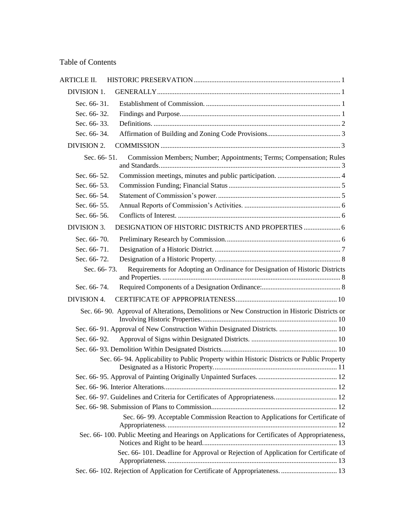# Table of Contents

| <b>ARTICLE II.</b> |                                                                                               |  |
|--------------------|-----------------------------------------------------------------------------------------------|--|
| DIVISION 1.        |                                                                                               |  |
| Sec. 66-31.        |                                                                                               |  |
| Sec. 66-32.        |                                                                                               |  |
| Sec. 66-33.        |                                                                                               |  |
| Sec. 66-34.        |                                                                                               |  |
| <b>DIVISION 2.</b> |                                                                                               |  |
| Sec. 66-51.        | Commission Members; Number; Appointments; Terms; Compensation; Rules                          |  |
| Sec. 66-52.        |                                                                                               |  |
| Sec. 66-53.        |                                                                                               |  |
| Sec. 66-54.        |                                                                                               |  |
| Sec. 66-55.        |                                                                                               |  |
| Sec. 66-56.        |                                                                                               |  |
| DIVISION 3.        |                                                                                               |  |
| Sec. 66-70.        |                                                                                               |  |
| Sec. 66-71.        |                                                                                               |  |
| Sec. 66-72.        |                                                                                               |  |
| Sec. 66-73.        | Requirements for Adopting an Ordinance for Designation of Historic Districts                  |  |
| Sec. 66-74.        |                                                                                               |  |
| DIVISION 4.        |                                                                                               |  |
|                    | Sec. 66-90. Approval of Alterations, Demolitions or New Construction in Historic Districts or |  |
|                    |                                                                                               |  |
| Sec. 66-92.        |                                                                                               |  |
|                    |                                                                                               |  |
|                    | Sec. 66-94. Applicability to Public Property within Historic Districts or Public Property     |  |
|                    |                                                                                               |  |
|                    |                                                                                               |  |
|                    |                                                                                               |  |
|                    |                                                                                               |  |
|                    | Sec. 66-99. Acceptable Commission Reaction to Applications for Certificate of                 |  |
|                    | Sec. 66-100. Public Meeting and Hearings on Applications for Certificates of Appropriateness, |  |
|                    | Sec. 66-101. Deadline for Approval or Rejection of Application for Certificate of             |  |
|                    |                                                                                               |  |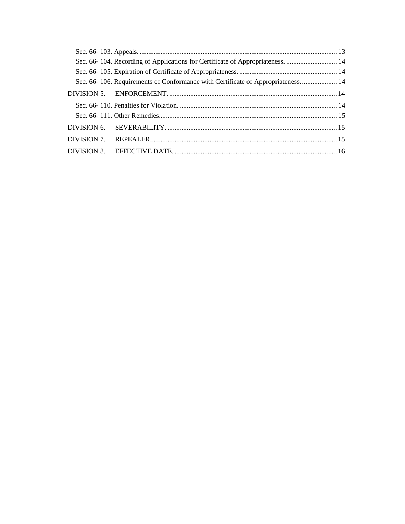|  | Sec. 66-104. Recording of Applications for Certificate of Appropriateness.  14  |  |
|--|---------------------------------------------------------------------------------|--|
|  |                                                                                 |  |
|  | Sec. 66-106. Requirements of Conformance with Certificate of Appropriateness 14 |  |
|  |                                                                                 |  |
|  |                                                                                 |  |
|  |                                                                                 |  |
|  |                                                                                 |  |
|  |                                                                                 |  |
|  |                                                                                 |  |
|  |                                                                                 |  |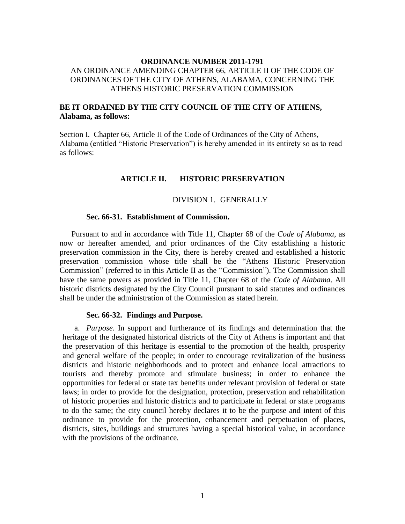# **ORDINANCE NUMBER 2011-1791** AN ORDINANCE AMENDING CHAPTER 66, ARTICLE II OF THE CODE OF ORDINANCES OF THE CITY OF ATHENS, ALABAMA, CONCERNING THE ATHENS HISTORIC PRESERVATION COMMISSION

# **BE IT ORDAINED BY THE CITY COUNCIL OF THE CITY OF ATHENS, Alabama, as follows:**

<span id="page-3-0"></span>Section I. Chapter 66, Article II of the Code of Ordinances of the City of Athens, Alabama (entitled "Historic Preservation") is hereby amended in its entirety so as to read as follows:

# **ARTICLE II. HISTORIC PRESERVATION**

#### DIVISION 1. GENERALLY

#### <span id="page-3-1"></span>**Sec. 66-31. Establishment of Commission.**

<span id="page-3-2"></span>Pursuant to and in accordance with Title 11, Chapter 68 of the *Code of Alabama*, as now or hereafter amended, and prior ordinances of the City establishing a historic preservation commission in the City, there is hereby created and established a historic preservation commission whose title shall be the "Athens Historic Preservation Commission" (referred to in this Article II as the "Commission"). The Commission shall have the same powers as provided in Title 11, Chapter 68 of the *Code of Alabama*. All historic districts designated by the City Council pursuant to said statutes and ordinances shall be under the administration of the Commission as stated herein.

#### **Sec. 66-32. Findings and Purpose.**

<span id="page-3-3"></span>a. *Purpose*. In support and furtherance of its findings and determination that the heritage of the designated historical districts of the City of Athens is important and that the preservation of this heritage is essential to the promotion of the health, prosperity and general welfare of the people; in order to encourage revitalization of the business districts and historic neighborhoods and to protect and enhance local attractions to tourists and thereby promote and stimulate business; in order to enhance the opportunities for federal or state tax benefits under relevant provision of federal or state laws; in order to provide for the designation, protection, preservation and rehabilitation of historic properties and historic districts and to participate in federal or state programs to do the same; the city council hereby declares it to be the purpose and intent of this ordinance to provide for the protection, enhancement and perpetuation of places, districts, sites, buildings and structures having a special historical value, in accordance with the provisions of the ordinance*.*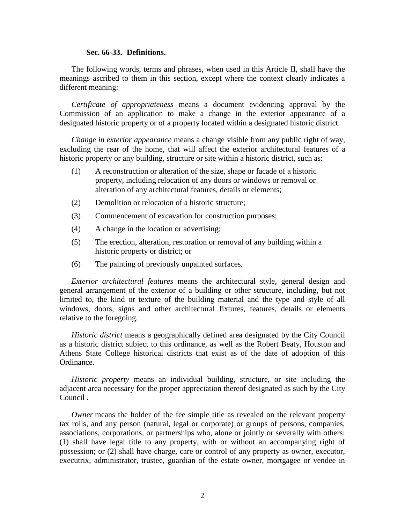#### **Sec. 66-33. Definitions.**

<span id="page-4-0"></span>The following words, terms and phrases, when used in this Article II, shall have the meanings ascribed to them in this section, except where the context clearly indicates a different meaning:

*Certificate of appropriateness* means a document evidencing approval by the Commission of an application to make a change in the exterior appearance of a designated historic property or of a property located within a designated historic district.

*Change in exterior appearance* means a change visible from any public right of way, excluding the rear of the home, that will affect the exterior architectural features of a historic property or any building, structure or site within a historic district, such as:

- (1) A reconstruction or alteration of the size, shape or facade of a historic property, including relocation of any doors or windows or removal or alteration of any architectural features, details or elements;
- (2) Demolition or relocation of a historic structure;
- (3) Commencement of excavation for construction purposes;
- (4) A change in the location or advertising;
- (5) The erection, alteration, restoration or removal of any building within a historic property or district; or
- (6) The painting of previously unpainted surfaces.

*Exterior architectural features* means the architectural style, general design and general arrangement of the exterior of a building or other structure, including, but not limited to, the kind or texture of the building material and the type and style of all windows, doors, signs and other architectural fixtures, features, details or elements relative to the foregoing.

*Historic district* means a geographically defined area designated by the City Council as a historic district subject to this ordinance, as well as the Robert Beaty, Houston and Athens State College historical districts that exist as of the date of adoption of this Ordinance.

*Historic property* means an individual building, structure, or site including the adjacent area necessary for the proper appreciation thereof designated as such by the City Council .

*Owner* means the holder of the fee simple title as revealed on the relevant property tax rolls, and any person (natural, legal or corporate) or groups of persons, companies, associations, corporations, or partnerships who, alone or jointly or severally with others: (1) shall have legal title to any property, with or without an accompanying right of possession; or (2) shall have charge, care or control of any property as owner, executor, executrix, administrator, trustee, guardian of the estate owner, mortgagee or vendee in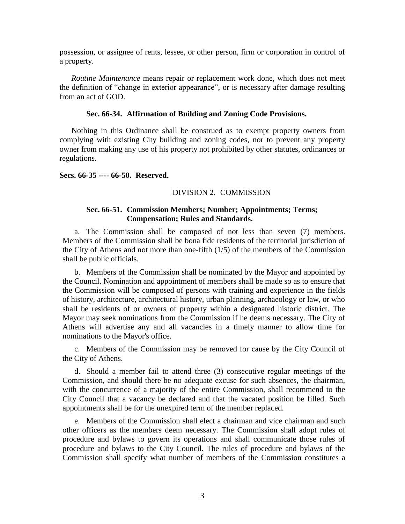possession, or assignee of rents, lessee, or other person, firm or corporation in control of a property.

*Routine Maintenance* means repair or replacement work done, which does not meet the definition of "change in exterior appearance", or is necessary after damage resulting from an act of GOD.

### **Sec. 66-34. Affirmation of Building and Zoning Code Provisions.**

<span id="page-5-0"></span>Nothing in this Ordinance shall be construed as to exempt property owners from complying with existing City building and zoning codes, nor to prevent any property owner from making any use of his property not prohibited by other statutes, ordinances or regulations.

## <span id="page-5-1"></span>**Secs. 66-35 ---- 66-50. Reserved.**

## DIVISION 2. COMMISSION

# **Sec. 66-51. Commission Members; Number; Appointments; Terms; Compensation; Rules and Standards.**

<span id="page-5-2"></span>a. The Commission shall be composed of not less than seven (7) members. Members of the Commission shall be bona fide residents of the territorial jurisdiction of the City of Athens and not more than one-fifth  $(1/5)$  of the members of the Commission shall be public officials.

b. Members of the Commission shall be nominated by the Mayor and appointed by the Council. Nomination and appointment of members shall be made so as to ensure that the Commission will be composed of persons with training and experience in the fields of history, architecture, architectural history, urban planning, archaeology or law, or who shall be residents of or owners of property within a designated historic district. The Mayor may seek nominations from the Commission if he deems necessary. The City of Athens will advertise any and all vacancies in a timely manner to allow time for nominations to the Mayor's office.

c. Members of the Commission may be removed for cause by the City Council of the City of Athens.

d. Should a member fail to attend three (3) consecutive regular meetings of the Commission, and should there be no adequate excuse for such absences, the chairman, with the concurrence of a majority of the entire Commission, shall recommend to the City Council that a vacancy be declared and that the vacated position be filled. Such appointments shall be for the unexpired term of the member replaced.

e. Members of the Commission shall elect a chairman and vice chairman and such other officers as the members deem necessary. The Commission shall adopt rules of procedure and bylaws to govern its operations and shall communicate those rules of procedure and bylaws to the City Council. The rules of procedure and bylaws of the Commission shall specify what number of members of the Commission constitutes a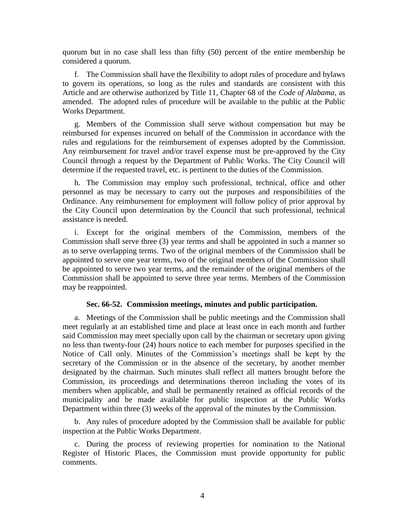quorum but in no case shall less than fifty (50) percent of the entire membership be considered a quorum.

f. The Commission shall have the flexibility to adopt rules of procedure and bylaws to govern its operations, so long as the rules and standards are consistent with this Article and are otherwise authorized by Title 11, Chapter 68 of the *Code of Alabama*, as amended. The adopted rules of procedure will be available to the public at the Public Works Department.

g. Members of the Commission shall serve without compensation but may be reimbursed for expenses incurred on behalf of the Commission in accordance with the rules and regulations for the reimbursement of expenses adopted by the Commission. Any reimbursement for travel and/or travel expense must be pre-approved by the City Council through a request by the Department of Public Works. The City Council will determine if the requested travel, etc. is pertinent to the duties of the Commission.

h. The Commission may employ such professional, technical, office and other personnel as may be necessary to carry out the purposes and responsibilities of the Ordinance. Any reimbursement for employment will follow policy of prior approval by the City Council upon determination by the Council that such professional, technical assistance is needed.

i. Except for the original members of the Commission, members of the Commission shall serve three (3) year terms and shall be appointed in such a manner so as to serve overlapping terms. Two of the original members of the Commission shall be appointed to serve one year terms, two of the original members of the Commission shall be appointed to serve two year terms, and the remainder of the original members of the Commission shall be appointed to serve three year terms. Members of the Commission may be reappointed.

#### **Sec. 66-52. Commission meetings, minutes and public participation.**

<span id="page-6-0"></span>a. Meetings of the Commission shall be public meetings and the Commission shall meet regularly at an established time and place at least once in each month and further said Commission may meet specially upon call by the chairman or secretary upon giving no less than twenty-four (24) hours notice to each member for purposes specified in the Notice of Call only. Minutes of the Commission's meetings shall be kept by the secretary of the Commission or in the absence of the secretary, by another member designated by the chairman. Such minutes shall reflect all matters brought before the Commission, its proceedings and determinations thereon including the votes of its members when applicable, and shall be permanently retained as official records of the municipality and be made available for public inspection at the Public Works Department within three (3) weeks of the approval of the minutes by the Commission.

b. Any rules of procedure adopted by the Commission shall be available for public inspection at the Public Works Department.

c. During the process of reviewing properties for nomination to the National Register of Historic Places, the Commission must provide opportunity for public comments.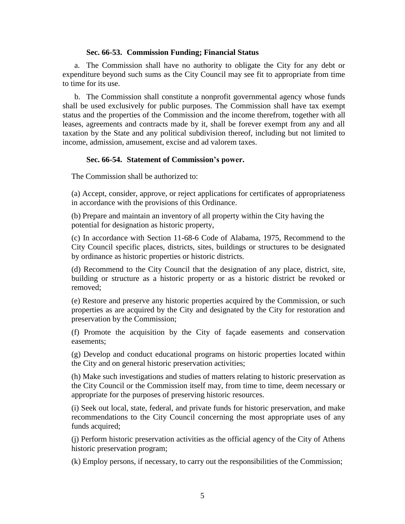## **Sec. 66-53. Commission Funding; Financial Status**

<span id="page-7-0"></span>a. The Commission shall have no authority to obligate the City for any debt or expenditure beyond such sums as the City Council may see fit to appropriate from time to time for its use.

b. The Commission shall constitute a nonprofit governmental agency whose funds shall be used exclusively for public purposes. The Commission shall have tax exempt status and the properties of the Commission and the income therefrom, together with all leases, agreements and contracts made by it, shall be forever exempt from any and all taxation by the State and any political subdivision thereof, including but not limited to income, admission, amusement, excise and ad valorem taxes.

# **Sec. 66-54. Statement of Commission's power.**

<span id="page-7-1"></span>The Commission shall be authorized to:

(a) Accept, consider, approve, or reject applications for certificates of appropriateness in accordance with the provisions of this Ordinance.

(b) Prepare and maintain an inventory of all property within the City having the potential for designation as historic property,

(c) In accordance with Section 11-68-6 Code of Alabama, 1975, Recommend to the City Council specific places, districts, sites, buildings or structures to be designated by ordinance as historic properties or historic districts.

(d) Recommend to the City Council that the designation of any place, district, site, building or structure as a historic property or as a historic district be revoked or removed;

(e) Restore and preserve any historic properties acquired by the Commission, or such properties as are acquired by the City and designated by the City for restoration and preservation by the Commission;

(f) Promote the acquisition by the City of façade easements and conservation easements;

(g) Develop and conduct educational programs on historic properties located within the City and on general historic preservation activities;

(h) Make such investigations and studies of matters relating to historic preservation as the City Council or the Commission itself may, from time to time, deem necessary or appropriate for the purposes of preserving historic resources.

(i) Seek out local, state, federal, and private funds for historic preservation, and make recommendations to the City Council concerning the most appropriate uses of any funds acquired;

(j) Perform historic preservation activities as the official agency of the City of Athens historic preservation program;

(k) Employ persons, if necessary, to carry out the responsibilities of the Commission;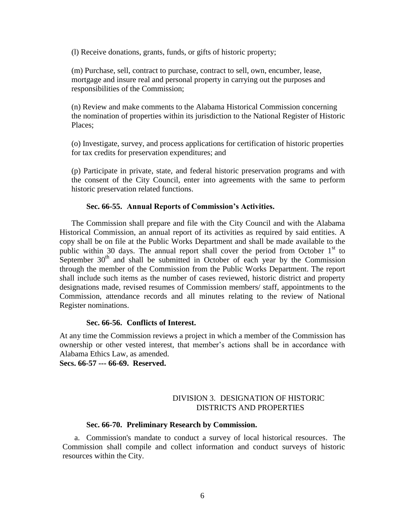(l) Receive donations, grants, funds, or gifts of historic property;

(m) Purchase, sell, contract to purchase, contract to sell, own, encumber, lease, mortgage and insure real and personal property in carrying out the purposes and responsibilities of the Commission;

(n) Review and make comments to the Alabama Historical Commission concerning the nomination of properties within its jurisdiction to the National Register of Historic Places;

(o) Investigate, survey, and process applications for certification of historic properties for tax credits for preservation expenditures; and

(p) Participate in private, state, and federal historic preservation programs and with the consent of the City Council, enter into agreements with the same to perform historic preservation related functions.

#### **Sec. 66-55. Annual Reports of Commission's Activities.**

<span id="page-8-0"></span>The Commission shall prepare and file with the City Council and with the Alabama Historical Commission, an annual report of its activities as required by said entities. A copy shall be on file at the Public Works Department and shall be made available to the public within 30 days. The annual report shall cover the period from October  $1<sup>st</sup>$  to September  $30<sup>th</sup>$  and shall be submitted in October of each year by the Commission through the member of the Commission from the Public Works Department. The report shall include such items as the number of cases reviewed, historic district and property designations made, revised resumes of Commission members/ staff, appointments to the Commission, attendance records and all minutes relating to the review of National Register nominations.

#### **Sec. 66-56. Conflicts of Interest.**

<span id="page-8-1"></span>At any time the Commission reviews a project in which a member of the Commission has ownership or other vested interest, that member's actions shall be in accordance with Alabama Ethics Law, as amended.

<span id="page-8-2"></span>**Secs. 66-57 --- 66-69. Reserved.**

# DIVISION 3. DESIGNATION OF HISTORIC DISTRICTS AND PROPERTIES

#### **Sec. 66-70. Preliminary Research by Commission.**

<span id="page-8-3"></span>a. Commission's mandate to conduct a survey of local historical resources. The Commission shall compile and collect information and conduct surveys of historic resources within the City.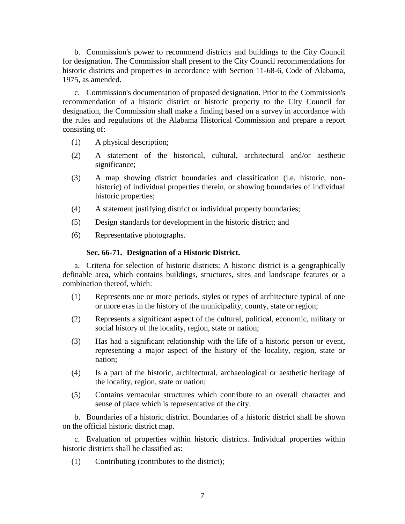b. Commission's power to recommend districts and buildings to the City Council for designation. The Commission shall present to the City Council recommendations for historic districts and properties in accordance with Section 11-68-6, Code of Alabama, 1975, as amended.

c. Commission's documentation of proposed designation. Prior to the Commission's recommendation of a historic district or historic property to the City Council for designation, the Commission shall make a finding based on a survey in accordance with the rules and regulations of the Alabama Historical Commission and prepare a report consisting of:

- (1) A physical description;
- (2) A statement of the historical, cultural, architectural and/or aesthetic significance;
- (3) A map showing district boundaries and classification (i.e. historic, nonhistoric) of individual properties therein, or showing boundaries of individual historic properties;
- (4) A statement justifying district or individual property boundaries;
- (5) Design standards for development in the historic district; and
- <span id="page-9-0"></span>(6) Representative photographs.

## **Sec. 66-71. Designation of a Historic District.**

a. Criteria for selection of historic districts: A historic district is a geographically definable area, which contains buildings, structures, sites and landscape features or a combination thereof, which:

- (1) Represents one or more periods, styles or types of architecture typical of one or more eras in the history of the municipality, county, state or region;
- (2) Represents a significant aspect of the cultural, political, economic, military or social history of the locality, region, state or nation;
- (3) Has had a significant relationship with the life of a historic person or event, representing a major aspect of the history of the locality, region, state or nation;
- (4) Is a part of the historic, architectural, archaeological or aesthetic heritage of the locality, region, state or nation;
- (5) Contains vernacular structures which contribute to an overall character and sense of place which is representative of the city.

b. Boundaries of a historic district. Boundaries of a historic district shall be shown on the official historic district map.

c. Evaluation of properties within historic districts. Individual properties within historic districts shall be classified as:

(1) Contributing (contributes to the district);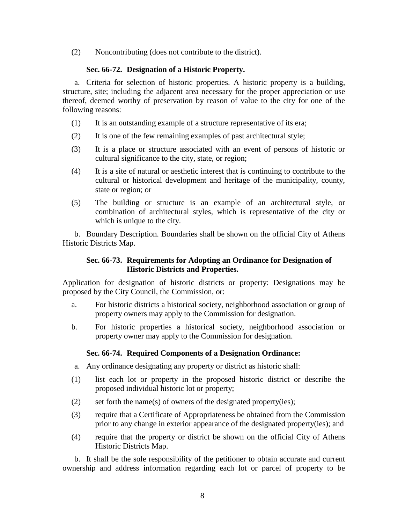<span id="page-10-0"></span>(2) Noncontributing (does not contribute to the district).

# **Sec. 66-72. Designation of a Historic Property.**

a. Criteria for selection of historic properties. A historic property is a building, structure, site; including the adjacent area necessary for the proper appreciation or use thereof, deemed worthy of preservation by reason of value to the city for one of the following reasons:

- (1) It is an outstanding example of a structure representative of its era;
- (2) It is one of the few remaining examples of past architectural style;
- (3) It is a place or structure associated with an event of persons of historic or cultural significance to the city, state, or region;
- (4) It is a site of natural or aesthetic interest that is continuing to contribute to the cultural or historical development and heritage of the municipality, county, state or region; or
- (5) The building or structure is an example of an architectural style, or combination of architectural styles, which is representative of the city or which is unique to the city.

<span id="page-10-1"></span>b. Boundary Description. Boundaries shall be shown on the official City of Athens Historic Districts Map.

# **Sec. 66-73. Requirements for Adopting an Ordinance for Designation of Historic Districts and Properties.**

Application for designation of historic districts or property: Designations may be proposed by the City Council, the Commission, or:

- a. For historic districts a historical society, neighborhood association or group of property owners may apply to the Commission for designation.
- b. For historic properties a historical society, neighborhood association or property owner may apply to the Commission for designation.

# **Sec. 66-74. Required Components of a Designation Ordinance:**

- <span id="page-10-2"></span>a. Any ordinance designating any property or district as historic shall:
- (1) list each lot or property in the proposed historic district or describe the proposed individual historic lot or property;
- (2) set forth the name(s) of owners of the designated property(ies);
- (3) require that a Certificate of Appropriateness be obtained from the Commission prior to any change in exterior appearance of the designated property(ies); and
- (4) require that the property or district be shown on the official City of Athens Historic Districts Map.

b. It shall be the sole responsibility of the petitioner to obtain accurate and current ownership and address information regarding each lot or parcel of property to be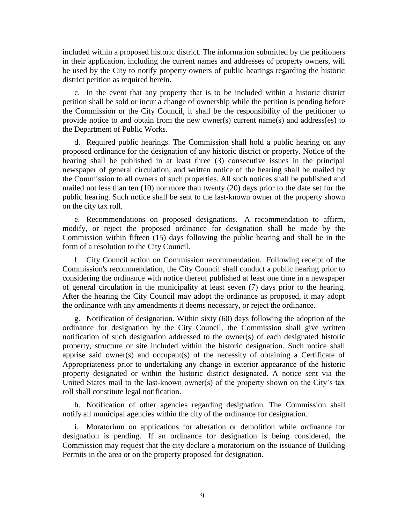included within a proposed historic district. The information submitted by the petitioners in their application, including the current names and addresses of property owners, will be used by the City to notify property owners of public hearings regarding the historic district petition as required herein.

c. In the event that any property that is to be included within a historic district petition shall be sold or incur a change of ownership while the petition is pending before the Commission or the City Council, it shall be the responsibility of the petitioner to provide notice to and obtain from the new owner(s) current name(s) and address(es) to the Department of Public Works.

d. Required public hearings. The Commission shall hold a public hearing on any proposed ordinance for the designation of any historic district or property. Notice of the hearing shall be published in at least three (3) consecutive issues in the principal newspaper of general circulation, and written notice of the hearing shall be mailed by the Commission to all owners of such properties. All such notices shall be published and mailed not less than ten (10) nor more than twenty (20) days prior to the date set for the public hearing. Such notice shall be sent to the last-known owner of the property shown on the city tax roll.

e. Recommendations on proposed designations. A recommendation to affirm, modify, or reject the proposed ordinance for designation shall be made by the Commission within fifteen (15) days following the public hearing and shall be in the form of a resolution to the City Council.

f. City Council action on Commission recommendation. Following receipt of the Commission's recommendation, the City Council shall conduct a public hearing prior to considering the ordinance with notice thereof published at least one time in a newspaper of general circulation in the municipality at least seven (7) days prior to the hearing. After the hearing the City Council may adopt the ordinance as proposed, it may adopt the ordinance with any amendments it deems necessary, or reject the ordinance.

g. Notification of designation. Within sixty (60) days following the adoption of the ordinance for designation by the City Council, the Commission shall give written notification of such designation addressed to the owner(s) of each designated historic property, structure or site included within the historic designation. Such notice shall apprise said owner(s) and occupant(s) of the necessity of obtaining a Certificate of Appropriateness prior to undertaking any change in exterior appearance of the historic property designated or within the historic district designated. A notice sent via the United States mail to the last-known owner(s) of the property shown on the City's tax roll shall constitute legal notification.

h. Notification of other agencies regarding designation. The Commission shall notify all municipal agencies within the city of the ordinance for designation.

i. Moratorium on applications for alteration or demolition while ordinance for designation is pending. If an ordinance for designation is being considered, the Commission may request that the city declare a moratorium on the issuance of Building Permits in the area or on the property proposed for designation.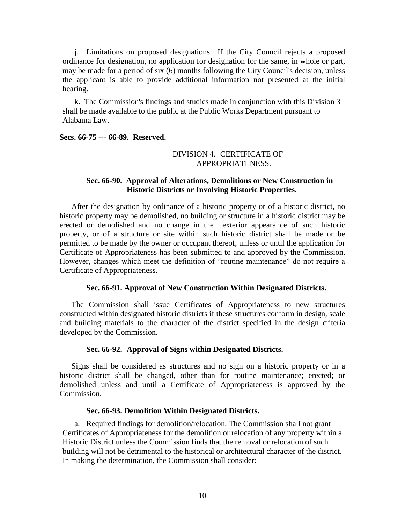j. Limitations on proposed designations. If the City Council rejects a proposed ordinance for designation, no application for designation for the same, in whole or part, may be made for a period of six (6) months following the City Council's decision, unless the applicant is able to provide additional information not presented at the initial hearing.

k. The Commission's findings and studies made in conjunction with this Division 3 shall be made available to the public at the Public Works Department pursuant to Alabama Law.

#### <span id="page-12-0"></span>**Secs. 66-75 --- 66-89. Reserved.**

# DIVISION 4. CERTIFICATE OF APPROPRIATENESS.

# **Sec. 66-90. Approval of Alterations, Demolitions or New Construction in Historic Districts or Involving Historic Properties.**

<span id="page-12-1"></span>After the designation by ordinance of a historic property or of a historic district, no historic property may be demolished, no building or structure in a historic district may be erected or demolished and no change in the exterior appearance of such historic property, or of a structure or site within such historic district shall be made or be permitted to be made by the owner or occupant thereof, unless or until the application for Certificate of Appropriateness has been submitted to and approved by the Commission. However, changes which meet the definition of "routine maintenance" do not require a Certificate of Appropriateness.

#### **Sec. 66-91. Approval of New Construction Within Designated Districts.**

<span id="page-12-2"></span>The Commission shall issue Certificates of Appropriateness to new structures constructed within designated historic districts if these structures conform in design, scale and building materials to the character of the district specified in the design criteria developed by the Commission.

## **Sec. 66-92. Approval of Signs within Designated Districts.**

<span id="page-12-3"></span>Signs shall be considered as structures and no sign on a historic property or in a historic district shall be changed, other than for routine maintenance; erected; or demolished unless and until a Certificate of Appropriateness is approved by the Commission.

## **Sec. 66-93. Demolition Within Designated Districts.**

<span id="page-12-4"></span>a. Required findings for demolition/relocation. The Commission shall not grant Certificates of Appropriateness for the demolition or relocation of any property within a Historic District unless the Commission finds that the removal or relocation of such building will not be detrimental to the historical or architectural character of the district. In making the determination, the Commission shall consider: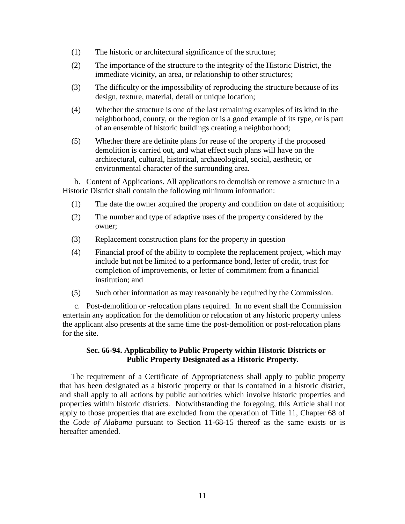- (1) The historic or architectural significance of the structure;
- (2) The importance of the structure to the integrity of the Historic District, the immediate vicinity, an area, or relationship to other structures;
- (3) The difficulty or the impossibility of reproducing the structure because of its design, texture, material, detail or unique location;
- (4) Whether the structure is one of the last remaining examples of its kind in the neighborhood, county, or the region or is a good example of its type, or is part of an ensemble of historic buildings creating a neighborhood;
- (5) Whether there are definite plans for reuse of the property if the proposed demolition is carried out, and what effect such plans will have on the architectural, cultural, historical, archaeological, social, aesthetic, or environmental character of the surrounding area.

b. Content of Applications. All applications to demolish or remove a structure in a Historic District shall contain the following minimum information:

- (1) The date the owner acquired the property and condition on date of acquisition;
- (2) The number and type of adaptive uses of the property considered by the owner;
- (3) Replacement construction plans for the property in question
- (4) Financial proof of the ability to complete the replacement project, which may include but not be limited to a performance bond, letter of credit, trust for completion of improvements, or letter of commitment from a financial institution; and
- (5) Such other information as may reasonably be required by the Commission.

c. Post-demolition or -relocation plans required. In no event shall the Commission entertain any application for the demolition or relocation of any historic property unless the applicant also presents at the same time the post-demolition or post-relocation plans for the site.

# <span id="page-13-0"></span>**Sec. 66-94. Applicability to Public Property within Historic Districts or Public Property Designated as a Historic Property***.*

The requirement of a Certificate of Appropriateness shall apply to public property that has been designated as a historic property or that is contained in a historic district, and shall apply to all actions by public authorities which involve historic properties and properties within historic districts. Notwithstanding the foregoing, this Article shall not apply to those properties that are excluded from the operation of Title 11, Chapter 68 of the *Code of Alabama* pursuant to Section 11-68-15 thereof as the same exists or is hereafter amended.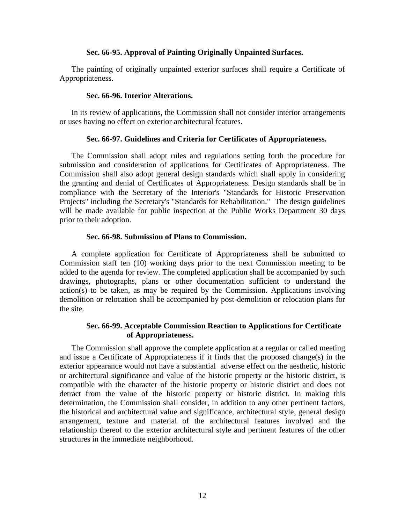## **Sec. 66-95. Approval of Painting Originally Unpainted Surfaces.**

<span id="page-14-0"></span>The painting of originally unpainted exterior surfaces shall require a Certificate of Appropriateness.

### **Sec. 66-96. Interior Alterations.**

<span id="page-14-2"></span><span id="page-14-1"></span>In its review of applications, the Commission shall not consider interior arrangements or uses having no effect on exterior architectural features.

# **Sec. 66-97. Guidelines and Criteria for Certificates of Appropriateness.**

The Commission shall adopt rules and regulations setting forth the procedure for submission and consideration of applications for Certificates of Appropriateness. The Commission shall also adopt general design standards which shall apply in considering the granting and denial of Certificates of Appropriateness. Design standards shall be in compliance with the Secretary of the Interior's "Standards for Historic Preservation Projects" including the Secretary's "Standards for Rehabilitation." The design guidelines will be made available for public inspection at the Public Works Department 30 days prior to their adoption.

## **Sec. 66-98. Submission of Plans to Commission.**

<span id="page-14-3"></span>A complete application for Certificate of Appropriateness shall be submitted to Commission staff ten (10) working days prior to the next Commission meeting to be added to the agenda for review. The completed application shall be accompanied by such drawings, photographs, plans or other documentation sufficient to understand the action(s) to be taken, as may be required by the Commission. Applications involving demolition or relocation shall be accompanied by post-demolition or relocation plans for the site.

# **Sec. 66-99. Acceptable Commission Reaction to Applications for Certificate of Appropriateness.**

<span id="page-14-4"></span>The Commission shall approve the complete application at a regular or called meeting and issue a Certificate of Appropriateness if it finds that the proposed change(s) in the exterior appearance would not have a substantial adverse effect on the aesthetic, historic or architectural significance and value of the historic property or the historic district, is compatible with the character of the historic property or historic district and does not detract from the value of the historic property or historic district. In making this determination, the Commission shall consider, in addition to any other pertinent factors, the historical and architectural value and significance, architectural style, general design arrangement, texture and material of the architectural features involved and the relationship thereof to the exterior architectural style and pertinent features of the other structures in the immediate neighborhood.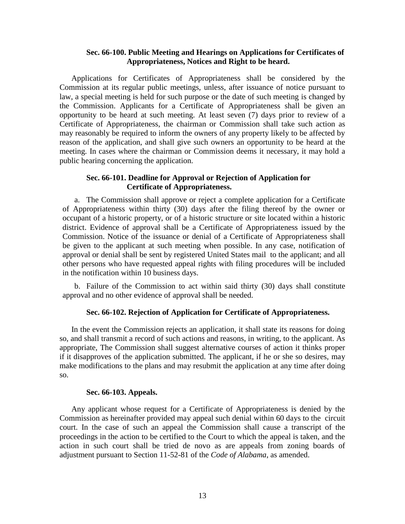# **Sec. 66-100. Public Meeting and Hearings on Applications for Certificates of Appropriateness, Notices and Right to be heard.**

<span id="page-15-0"></span>Applications for Certificates of Appropriateness shall be considered by the Commission at its regular public meetings, unless, after issuance of notice pursuant to law, a special meeting is held for such purpose or the date of such meeting is changed by the Commission. Applicants for a Certificate of Appropriateness shall be given an opportunity to be heard at such meeting. At least seven (7) days prior to review of a Certificate of Appropriateness, the chairman or Commission shall take such action as may reasonably be required to inform the owners of any property likely to be affected by reason of the application, and shall give such owners an opportunity to be heard at the meeting. In cases where the chairman or Commission deems it necessary, it may hold a public hearing concerning the application.

# **Sec. 66-101. Deadline for Approval or Rejection of Application for Certificate of Appropriateness.**

<span id="page-15-1"></span>a. The Commission shall approve or reject a complete application for a Certificate of Appropriateness within thirty (30) days after the filing thereof by the owner or occupant of a historic property, or of a historic structure or site located within a historic district. Evidence of approval shall be a Certificate of Appropriateness issued by the Commission. Notice of the issuance or denial of a Certificate of Appropriateness shall be given to the applicant at such meeting when possible. In any case, notification of approval or denial shall be sent by registered United States mail to the applicant; and all other persons who have requested appeal rights with filing procedures will be included in the notification within 10 business days.

<span id="page-15-2"></span>b. Failure of the Commission to act within said thirty (30) days shall constitute approval and no other evidence of approval shall be needed.

# **Sec. 66-102. Rejection of Application for Certificate of Appropriateness.**

In the event the Commission rejects an application, it shall state its reasons for doing so, and shall transmit a record of such actions and reasons, in writing, to the applicant. As appropriate, The Commission shall suggest alternative courses of action it thinks proper if it disapproves of the application submitted. The applicant, if he or she so desires, may make modifications to the plans and may resubmit the application at any time after doing so.

## **Sec. 66-103. Appeals.**

<span id="page-15-3"></span>Any applicant whose request for a Certificate of Appropriateness is denied by the Commission as hereinafter provided may appeal such denial within 60 days to the circuit court. In the case of such an appeal the Commission shall cause a transcript of the proceedings in the action to be certified to the Court to which the appeal is taken, and the action in such court shall be tried de novo as are appeals from zoning boards of adjustment pursuant to Section 11-52-81 of the *Code of Alabama*, as amended.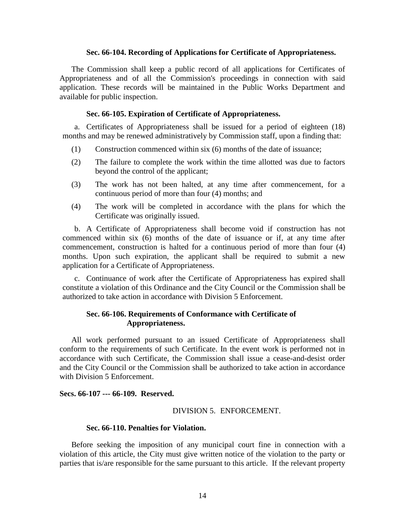#### **Sec. 66-104. Recording of Applications for Certificate of Appropriateness.**

<span id="page-16-0"></span>The Commission shall keep a public record of all applications for Certificates of Appropriateness and of all the Commission's proceedings in connection with said application. These records will be maintained in the Public Works Department and available for public inspection.

#### **Sec. 66-105. Expiration of Certificate of Appropriateness.**

<span id="page-16-1"></span>a. Certificates of Appropriateness shall be issued for a period of eighteen (18) months and may be renewed administratively by Commission staff, upon a finding that:

- (1) Construction commenced within six (6) months of the date of issuance;
- (2) The failure to complete the work within the time allotted was due to factors beyond the control of the applicant;
- (3) The work has not been halted, at any time after commencement, for a continuous period of more than four (4) months; and
- (4) The work will be completed in accordance with the plans for which the Certificate was originally issued.

b. A Certificate of Appropriateness shall become void if construction has not commenced within six (6) months of the date of issuance or if, at any time after commencement, construction is halted for a continuous period of more than four (4) months. Upon such expiration, the applicant shall be required to submit a new application for a Certificate of Appropriateness.

c. Continuance of work after the Certificate of Appropriateness has expired shall constitute a violation of this Ordinance and the City Council or the Commission shall be authorized to take action in accordance with Division 5 Enforcement.

# <span id="page-16-2"></span>**Sec. 66-106. Requirements of Conformance with Certificate of Appropriateness.**

All work performed pursuant to an issued Certificate of Appropriateness shall conform to the requirements of such Certificate. In the event work is performed not in accordance with such Certificate, the Commission shall issue a cease-and-desist order and the City Council or the Commission shall be authorized to take action in accordance with Division 5 Enforcement.

## <span id="page-16-3"></span>**Secs. 66-107 --- 66-109. Reserved.**

#### DIVISION 5. ENFORCEMENT.

#### **Sec. 66-110. Penalties for Violation.**

<span id="page-16-4"></span>Before seeking the imposition of any municipal court fine in connection with a violation of this article, the City must give written notice of the violation to the party or parties that is/are responsible for the same pursuant to this article. If the relevant property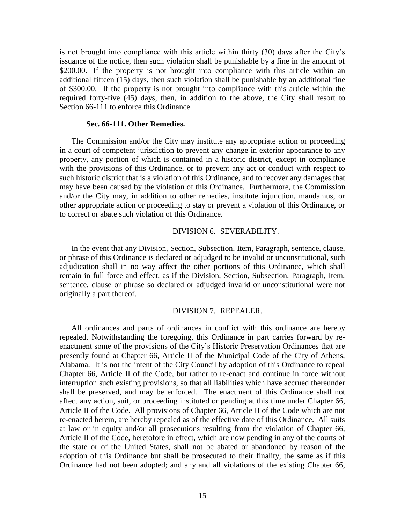is not brought into compliance with this article within thirty (30) days after the City's issuance of the notice, then such violation shall be punishable by a fine in the amount of \$200.00. If the property is not brought into compliance with this article within an additional fifteen (15) days, then such violation shall be punishable by an additional fine of \$300.00. If the property is not brought into compliance with this article within the required forty-five (45) days, then, in addition to the above, the City shall resort to Section 66-111 to enforce this Ordinance.

#### **Sec. 66-111. Other Remedies.**

<span id="page-17-0"></span>The Commission and/or the City may institute any appropriate action or proceeding in a court of competent jurisdiction to prevent any change in exterior appearance to any property, any portion of which is contained in a historic district, except in compliance with the provisions of this Ordinance, or to prevent any act or conduct with respect to such historic district that is a violation of this Ordinance, and to recover any damages that may have been caused by the violation of this Ordinance. Furthermore, the Commission and/or the City may, in addition to other remedies, institute injunction, mandamus, or other appropriate action or proceeding to stay or prevent a violation of this Ordinance, or to correct or abate such violation of this Ordinance.

#### DIVISION 6. SEVERABILITY.

<span id="page-17-1"></span>In the event that any Division, Section, Subsection, Item, Paragraph, sentence, clause, or phrase of this Ordinance is declared or adjudged to be invalid or unconstitutional, such adjudication shall in no way affect the other portions of this Ordinance, which shall remain in full force and effect, as if the Division, Section, Subsection, Paragraph, Item, sentence, clause or phrase so declared or adjudged invalid or unconstitutional were not originally a part thereof.

# DIVISION 7. REPEALER.

<span id="page-17-2"></span>All ordinances and parts of ordinances in conflict with this ordinance are hereby repealed. Notwithstanding the foregoing, this Ordinance in part carries forward by reenactment some of the provisions of the City's Historic Preservation Ordinances that are presently found at Chapter 66, Article II of the Municipal Code of the City of Athens, Alabama. It is not the intent of the City Council by adoption of this Ordinance to repeal Chapter 66, Article II of the Code, but rather to re-enact and continue in force without interruption such existing provisions, so that all liabilities which have accrued thereunder shall be preserved, and may be enforced. The enactment of this Ordinance shall not affect any action, suit, or proceeding instituted or pending at this time under Chapter 66, Article II of the Code. All provisions of Chapter 66, Article II of the Code which are not re-enacted herein, are hereby repealed as of the effective date of this Ordinance. All suits at law or in equity and/or all prosecutions resulting from the violation of Chapter 66, Article II of the Code, heretofore in effect, which are now pending in any of the courts of the state or of the United States, shall not be abated or abandoned by reason of the adoption of this Ordinance but shall be prosecuted to their finality, the same as if this Ordinance had not been adopted; and any and all violations of the existing Chapter 66,